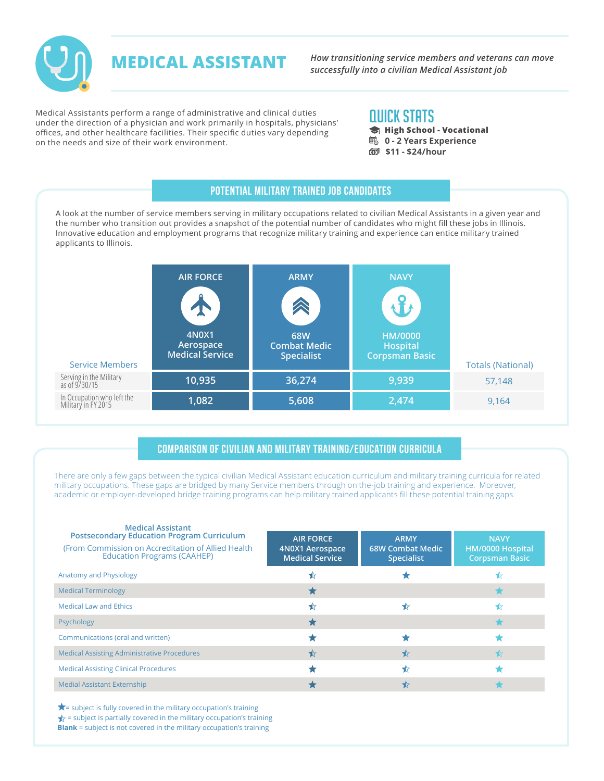

*How transitioning service members and veterans can move successfully into a civilian Medical Assistant job*

Medical Assistants perform a range of administrative and clinical duties under the direction of a physician and work primarily in hospitals, physicians' offices, and other healthcare facilities. Their specific duties vary depending on the needs and size of their work environment.

**MEDICAL ASSISTANT**

## QUICK STATS

- **High School Vocational**
- **B** 0 2 Years Experience
- **\$11 \$24/hour**

### Potential Military Trained Job Candidates

A look at the number of service members serving in military occupations related to civilian Medical Assistants in a given year and the number who transition out provides a snapshot of the potential number of candidates who might fill these jobs in Illinois. Innovative education and employment programs that recognize military training and experience can entice military trained applicants to Illinois.

| <b>Service Members</b>                            | <b>AIR FORCE</b><br><b>4N0X1</b><br>Aerospace<br><b>Medical Service</b> | <b>ARMY</b><br><b>68W</b><br><b>Combat Medic</b><br><b>Specialist</b> | <b>NAVY</b><br>HM/0000<br><b>Hospital</b><br>Corpsman Basic | <b>Totals (National)</b> |
|---------------------------------------------------|-------------------------------------------------------------------------|-----------------------------------------------------------------------|-------------------------------------------------------------|--------------------------|
| Serving in the Military<br>as of 9/30/15          | 10,935                                                                  | 36,274                                                                | 9,939                                                       | 57,148                   |
| In Occupation who left the<br>Military in FY 2015 | 1,082                                                                   | 5,608                                                                 | 2,474                                                       | 9,164                    |

#### Comparison of Civilian and Military Training/Education Curricula

There are only a few gaps between the typical civilian Medical Assistant education curriculum and military training curricula for related military occupations. These gaps are bridged by many Service members through on the-job training and experience. Moreover, academic or employer-developed bridge training programs can help military trained applicants fill these potential training gaps.

| <b>Medical Assistant</b><br><b>Postsecondary Education Program Curriculum</b><br>(From Commission on Accreditation of Allied Health)<br><b>Education Programs (CAAHEP)</b> | <b>AIR FORCE</b><br>4N0X1 Aerospace<br><b>Medical Service</b> | <b>ARMY</b><br><b>68W Combat Medic</b><br><b>Specialist</b> | <b>NAVY</b><br>HM/0000 Hospital<br><b>Corpsman Basic</b> |
|----------------------------------------------------------------------------------------------------------------------------------------------------------------------------|---------------------------------------------------------------|-------------------------------------------------------------|----------------------------------------------------------|
| Anatomy and Physiology                                                                                                                                                     |                                                               |                                                             |                                                          |
| <b>Medical Terminology</b>                                                                                                                                                 |                                                               |                                                             |                                                          |
| <b>Medical Law and Ethics</b>                                                                                                                                              | ⊀≿                                                            |                                                             |                                                          |
| Psychology                                                                                                                                                                 |                                                               |                                                             |                                                          |
| Communications (oral and written)                                                                                                                                          |                                                               |                                                             |                                                          |
| <b>Medical Assisting Administrative Procedures</b>                                                                                                                         | ⊀                                                             | ₩                                                           | ⊀≿                                                       |
| <b>Medical Assisting Clinical Procedures</b>                                                                                                                               |                                                               | ⊀                                                           |                                                          |
| <b>Medial Assistant Externship</b>                                                                                                                                         |                                                               |                                                             |                                                          |

 $\bigstar$  = subject is fully covered in the military occupation's training  $\star$  = subject is partially covered in the military occupation's training **Blank** = subject is not covered in the military occupation's training